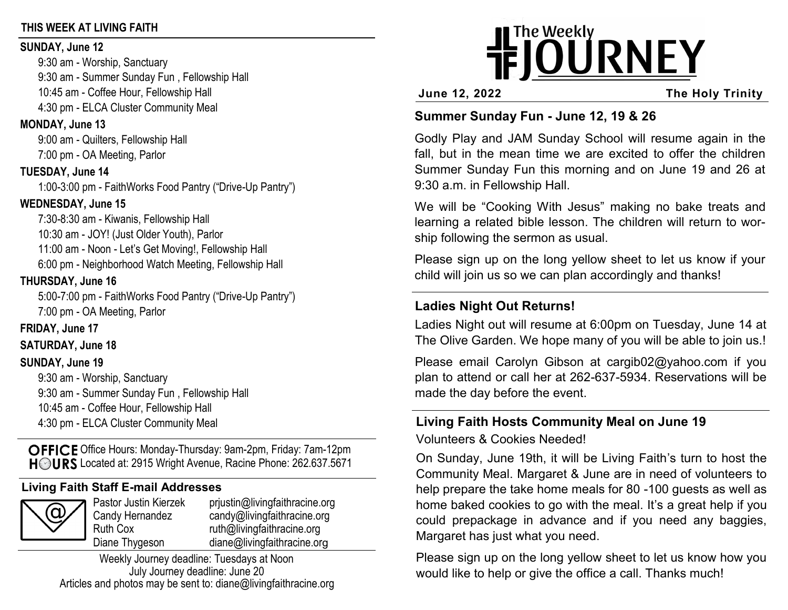## **THIS WEEK AT LIVING FAITH**

#### **SUNDAY, June 12**

9:30 am - Worship, Sanctuary 9:30 am - Summer Sunday Fun , Fellowship Hall 10:45 am - Coffee Hour, Fellowship Hall 4:30 pm - ELCA Cluster Community Meal

## **MONDAY, June 13**

9:00 am - Quilters, Fellowship Hall 7:00 pm - OA Meeting, Parlor

## **TUESDAY, June 14**

1:00-3:00 pm - FaithWorks Food Pantry ("Drive-Up Pantry")

# **WEDNESDAY, June 15**

7:30-8:30 am - Kiwanis, Fellowship Hall 10:30 am - JOY! (Just Older Youth), Parlor 11:00 am - Noon - Let's Get Moving!, Fellowship Hall 6:00 pm - Neighborhood Watch Meeting, Fellowship Hall

# **THURSDAY, June 16**

5:00-7:00 pm - FaithWorks Food Pantry ("Drive-Up Pantry") 7:00 pm - OA Meeting, Parlor

# **FRIDAY, June 17**

**SATURDAY, June 18**

## **SUNDAY, June 19**

9:30 am - Worship, Sanctuary 9:30 am - Summer Sunday Fun , Fellowship Hall 10:45 am - Coffee Hour, Fellowship Hall 4:30 pm - ELCA Cluster Community Meal

OFFICE Office Hours: Monday-Thursday: 9am-2pm, Friday: 7am-12pm HOURS Located at: 2915 Wright Avenue, Racine Phone: 262.637.5671

# **Living Faith Staff E-mail Addresses**



Pastor Justin Kierzek prjustin@livingfaithracine.org Candy Hernandez candy@livingfaithracine.org Ruth Cox ruth@livingfaithracine.org Diane Thygeson diane@livingfaithracine.org

Weekly Journey deadline: Tuesdays at Noon July Journey deadline: June 20 Articles and photos may be sent to: diane@livingfaithracine.org

# **IFJOURNEY**

**June 12, 2022 The Holy Trinity**

# **Summer Sunday Fun - June 12, 19 & 26**

Godly Play and JAM Sunday School will resume again in the fall, but in the mean time we are excited to offer the children Summer Sunday Fun this morning and on June 19 and 26 at 9:30 a.m. in Fellowship Hall.

We will be "Cooking With Jesus" making no bake treats and learning a related bible lesson. The children will return to worship following the sermon as usual.

Please sign up on the long yellow sheet to let us know if your child will join us so we can plan accordingly and thanks!

# **Ladies Night Out Returns!**

Ladies Night out will resume at 6:00pm on Tuesday, June 14 at The Olive Garden. We hope many of you will be able to join us.!

Please email Carolyn Gibson at cargib02@yahoo.com if you plan to attend or call her at 262-637-5934. Reservations will be made the day before the event.

#### **Living Faith Hosts Community Meal on June 19**  Volunteers & Cookies Needed!

On Sunday, June 19th, it will be Living Faith's turn to host the Community Meal. Margaret & June are in need of volunteers to help prepare the take home meals for 80 -100 guests as well as home baked cookies to go with the meal. It's a great help if you could prepackage in advance and if you need any baggies, Margaret has just what you need.

Please sign up on the long yellow sheet to let us know how you would like to help or give the office a call. Thanks much!